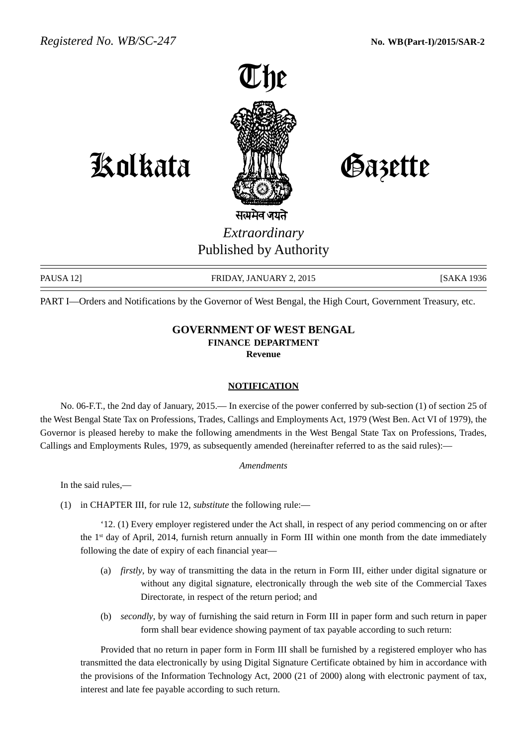

Kolkata Gazette

# सत्यमेव जयते *Extraordinary* Published by Authority

PAUSA 12] FRIDAY, JANUARY 2, 2015 [SAKA 1936] [SAKA 1936

PART I—Orders and Notifications by the Governor of West Bengal, the High Court, Government Treasury, etc.

## **GOVERNMENT OF WEST BENGAL FINANCE DEPARTMENT Revenue**

#### **NOTIFICATION**

No. 06-F.T., the 2nd day of January, 2015.— In exercise of the power conferred by sub-section (1) of section 25 of the West Bengal State Tax on Professions, Trades, Callings and Employments Act, 1979 (West Ben. Act VI of 1979), the Governor is pleased hereby to make the following amendments in the West Bengal State Tax on Professions, Trades, Callings and Employments Rules, 1979, as subsequently amended (hereinafter referred to as the said rules):—

#### *Amendments*

In the said rules,—

(1) in CHAPTER III, for rule 12, *substitute* the following rule:—

'12. (1) Every employer registered under the Act shall, in respect of any period commencing on or after the 1st day of April, 2014, furnish return annually in Form III within one month from the date immediately following the date of expiry of each financial year—

- (a) *firstly*, by way of transmitting the data in the return in Form III, either under digital signature or without any digital signature, electronically through the web site of the Commercial Taxes Directorate, in respect of the return period; and
- (b) *secondly*, by way of furnishing the said return in Form III in paper form and such return in paper form shall bear evidence showing payment of tax payable according to such return:

Provided that no return in paper form in Form III shall be furnished by a registered employer who has transmitted the data electronically by using Digital Signature Certificate obtained by him in accordance with the provisions of the Information Technology Act, 2000 (21 of 2000) along with electronic payment of tax, interest and late fee payable according to such return.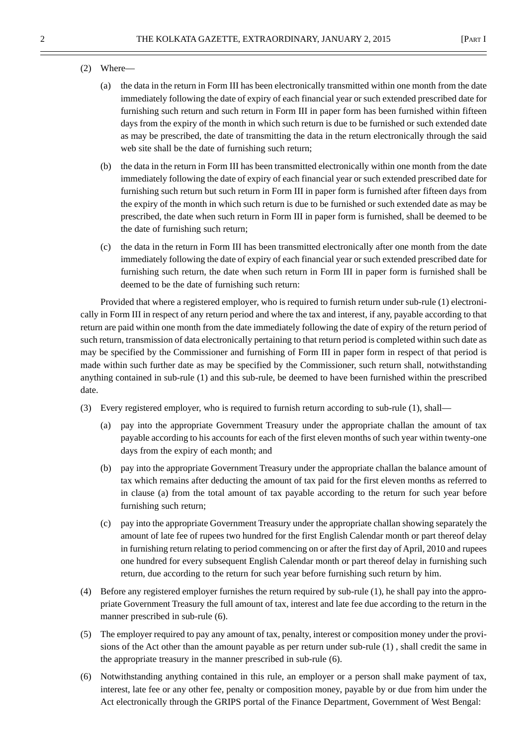#### (2) Where—

- (a) the data in the return in Form III has been electronically transmitted within one month from the date immediately following the date of expiry of each financial year or such extended prescribed date for furnishing such return and such return in Form III in paper form has been furnished within fifteen days from the expiry of the month in which such return is due to be furnished or such extended date as may be prescribed, the date of transmitting the data in the return electronically through the said web site shall be the date of furnishing such return;
- (b) the data in the return in Form III has been transmitted electronically within one month from the date immediately following the date of expiry of each financial year or such extended prescribed date for furnishing such return but such return in Form III in paper form is furnished after fifteen days from the expiry of the month in which such return is due to be furnished or such extended date as may be prescribed, the date when such return in Form III in paper form is furnished, shall be deemed to be the date of furnishing such return;
- (c) the data in the return in Form III has been transmitted electronically after one month from the date immediately following the date of expiry of each financial year or such extended prescribed date for furnishing such return, the date when such return in Form III in paper form is furnished shall be deemed to be the date of furnishing such return:

Provided that where a registered employer, who is required to furnish return under sub-rule (1) electronically in Form III in respect of any return period and where the tax and interest, if any, payable according to that return are paid within one month from the date immediately following the date of expiry of the return period of such return, transmission of data electronically pertaining to that return period is completed within such date as may be specified by the Commissioner and furnishing of Form III in paper form in respect of that period is made within such further date as may be specified by the Commissioner, such return shall, notwithstanding anything contained in sub-rule (1) and this sub-rule, be deemed to have been furnished within the prescribed date.

- (3) Every registered employer, who is required to furnish return according to sub-rule (1), shall—
	- (a) pay into the appropriate Government Treasury under the appropriate challan the amount of tax payable according to his accounts for each of the first eleven months of such year within twenty-one days from the expiry of each month; and
	- (b) pay into the appropriate Government Treasury under the appropriate challan the balance amount of tax which remains after deducting the amount of tax paid for the first eleven months as referred to in clause (a) from the total amount of tax payable according to the return for such year before furnishing such return;
	- (c) pay into the appropriate Government Treasury under the appropriate challan showing separately the amount of late fee of rupees two hundred for the first English Calendar month or part thereof delay in furnishing return relating to period commencing on or after the first day of April, 2010 and rupees one hundred for every subsequent English Calendar month or part thereof delay in furnishing such return, due according to the return for such year before furnishing such return by him.
- (4) Before any registered employer furnishes the return required by sub-rule (1), he shall pay into the appropriate Government Treasury the full amount of tax, interest and late fee due according to the return in the manner prescribed in sub-rule (6).
- (5) The employer required to pay any amount of tax, penalty, interest or composition money under the provisions of the Act other than the amount payable as per return under sub-rule (1) , shall credit the same in the appropriate treasury in the manner prescribed in sub-rule (6).
- (6) Notwithstanding anything contained in this rule, an employer or a person shall make payment of tax, interest, late fee or any other fee, penalty or composition money, payable by or due from him under the Act electronically through the GRIPS portal of the Finance Department, Government of West Bengal: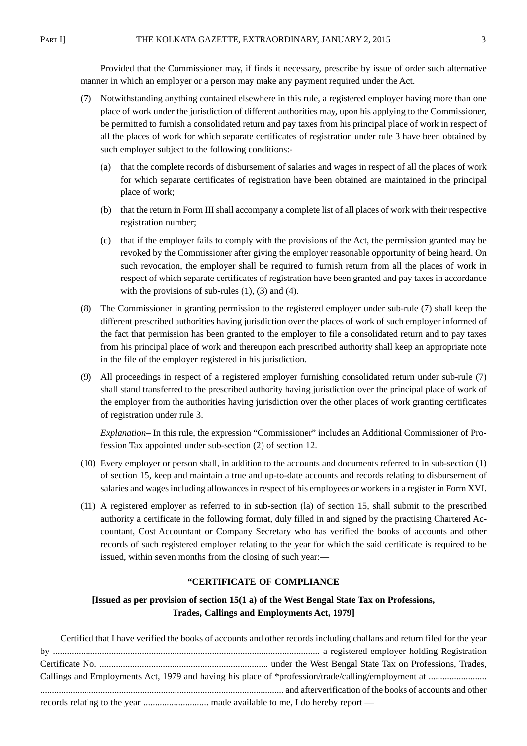Provided that the Commissioner may, if finds it necessary, prescribe by issue of order such alternative manner in which an employer or a person may make any payment required under the Act.

- (7) Notwithstanding anything contained elsewhere in this rule, a registered employer having more than one place of work under the jurisdiction of different authorities may, upon his applying to the Commissioner, be permitted to furnish a consolidated return and pay taxes from his principal place of work in respect of all the places of work for which separate certificates of registration under rule 3 have been obtained by such employer subject to the following conditions:-
	- (a) that the complete records of disbursement of salaries and wages in respect of all the places of work for which separate certificates of registration have been obtained are maintained in the principal place of work;
	- (b) that the return in Form III shall accompany a complete list of all places of work with their respective registration number;
	- (c) that if the employer fails to comply with the provisions of the Act, the permission granted may be revoked by the Commissioner after giving the employer reasonable opportunity of being heard. On such revocation, the employer shall be required to furnish return from all the places of work in respect of which separate certificates of registration have been granted and pay taxes in accordance with the provisions of sub-rules  $(1)$ ,  $(3)$  and  $(4)$ .
- (8) The Commissioner in granting permission to the registered employer under sub-rule (7) shall keep the different prescribed authorities having jurisdiction over the places of work of such employer informed of the fact that permission has been granted to the employer to file a consolidated return and to pay taxes from his principal place of work and thereupon each prescribed authority shall keep an appropriate note in the file of the employer registered in his jurisdiction.
- (9) All proceedings in respect of a registered employer furnishing consolidated return under sub-rule (7) shall stand transferred to the prescribed authority having jurisdiction over the principal place of work of the employer from the authorities having jurisdiction over the other places of work granting certificates of registration under rule 3.

*Explanation–* In this rule, the expression "Commissioner" includes an Additional Commissioner of Profession Tax appointed under sub-section (2) of section 12.

- (10) Every employer or person shall, in addition to the accounts and documents referred to in sub-section (1) of section 15, keep and maintain a true and up-to-date accounts and records relating to disbursement of salaries and wages including allowances in respect of his employees or workers in a register in Form XVI.
- (11) A registered employer as referred to in sub-section (la) of section 15, shall submit to the prescribed authority a certificate in the following format, duly filled in and signed by the practising Chartered Accountant, Cost Accountant or Company Secretary who has verified the books of accounts and other records of such registered employer relating to the year for which the said certificate is required to be issued, within seven months from the closing of such year:—

#### **"CERTIFICATE OF COMPLIANCE**

## **[Issued as per provision of section 15(1 a) of the West Bengal State Tax on Professions, Trades, Callings and Employments Act, 1979]**

| Certified that I have verified the books of accounts and other records including challans and return filed for the year |
|-------------------------------------------------------------------------------------------------------------------------|
|                                                                                                                         |
|                                                                                                                         |
|                                                                                                                         |
|                                                                                                                         |
|                                                                                                                         |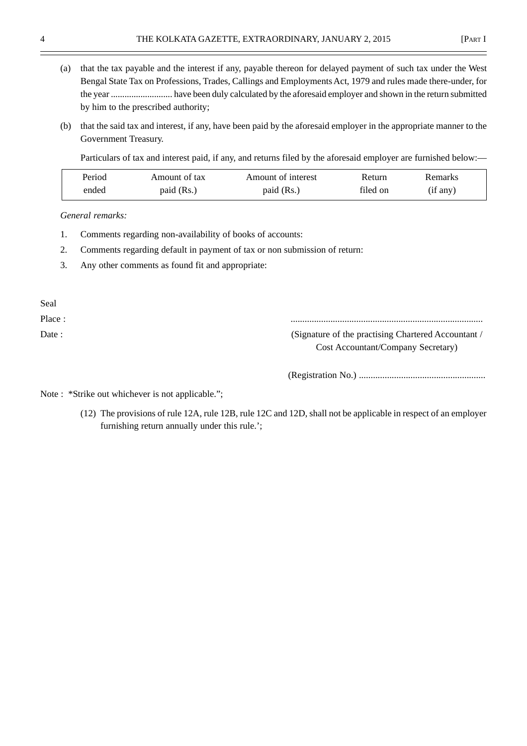4 THE KOLKATA GAZETTE, EXTRAORDINARY, JANUARY 2, 2015 [PART I

- (a) that the tax payable and the interest if any, payable thereon for delayed payment of such tax under the West Bengal State Tax on Professions, Trades, Callings and Employments Act, 1979 and rules made there-under, for the year ........................... have been duly calculated by the aforesaid employer and shown in the return submitted by him to the prescribed authority;
- (b) that the said tax and interest, if any, have been paid by the aforesaid employer in the appropriate manner to the Government Treasury.

Particulars of tax and interest paid, if any, and returns filed by the aforesaid employer are furnished below:—

| Period | Amount of tax | Amount of interest | <b>Return</b> | Remarks  |
|--------|---------------|--------------------|---------------|----------|
| ended  | paid (Rs.)    | paid (Rs.)         | filed on      | (if any) |

*General remarks:*

- 1. Comments regarding non-availability of books of accounts:
- 2. Comments regarding default in payment of tax or non submission of return:
- 3. Any other comments as found fit and appropriate:

Seal

Place : ..................................................................................

Date : (Signature of the practising Chartered Accountant / Cost Accountant/Company Secretary)

(Registration No.) ......................................................

Note : \*Strike out whichever is not applicable.";

(12) The provisions of rule 12A, rule 12B, rule 12C and 12D, shall not be applicable in respect of an employer furnishing return annually under this rule.';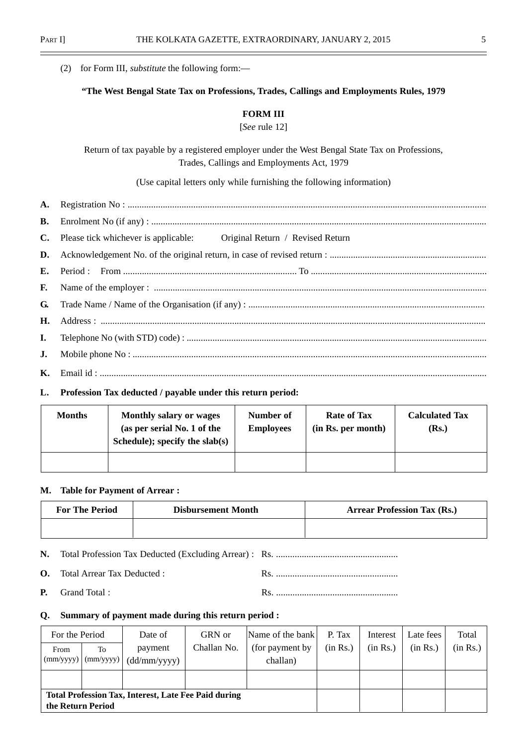|    | for Form III, <i>substitute</i> the following form:-<br>(2)                                                                                  |
|----|----------------------------------------------------------------------------------------------------------------------------------------------|
|    | "The West Bengal State Tax on Professions, Trades, Callings and Employments Rules, 1979                                                      |
|    | <b>FORM III</b>                                                                                                                              |
|    | [See rule 12]                                                                                                                                |
|    | Return of tax payable by a registered employer under the West Bengal State Tax on Professions,<br>Trades, Callings and Employments Act, 1979 |
|    | (Use capital letters only while furnishing the following information)                                                                        |
| A. |                                                                                                                                              |
| В. |                                                                                                                                              |
| C. | Please tick whichever is applicable: Original Return / Revised Return                                                                        |
| D. |                                                                                                                                              |
| E. | Period :                                                                                                                                     |
| F. |                                                                                                                                              |
| G. |                                                                                                                                              |
| Н. |                                                                                                                                              |
| I. |                                                                                                                                              |
| J. |                                                                                                                                              |
|    | $\mathbf{r}$ , and the set of $\mathbf{r}$                                                                                                   |

**K.** Email id : .....................................................................................................................................................................

## **L. Profession Tax deducted / payable under this return period:**

| <b>Months</b> | <b>Monthly salary or wages</b><br>(as per serial No. 1 of the<br>Schedule); specify the slab(s) | Number of<br><b>Employees</b> | <b>Rate of Tax</b><br>(in Rs. per month) | <b>Calculated Tax</b><br>(Rs.) |
|---------------|-------------------------------------------------------------------------------------------------|-------------------------------|------------------------------------------|--------------------------------|
|               |                                                                                                 |                               |                                          |                                |

## **M. Table for Payment of Arrear :**

| <b>For The Period</b> | <b>Disbursement Month</b> | <b>Arrear Profession Tax (Rs.)</b> |
|-----------------------|---------------------------|------------------------------------|
|                       |                           |                                    |

**N.** Total Profession Tax Deducted (Excluding Arrear) : Rs. ....................................................

- **O.** Total Arrear Tax Deducted : Rs. ....................................................
- **P.** Grand Total : Rs. ....................................................

## **Q. Summary of payment made during this return period :**

| For the Period    |                   | Date of                                                     | GRN or      | Name of the bank | P. Tax   | Interest | Late fees | Total    |
|-------------------|-------------------|-------------------------------------------------------------|-------------|------------------|----------|----------|-----------|----------|
| From<br>To        |                   | payment                                                     | Challan No. | (for payment by) | (in Rs.) | (in Rs.) | (in Rs.)  | (in Rs.) |
| $\text{(mm/yyy)}$ | $\text{(mm/yyy)}$ | (dd/mm/yyyy)                                                |             | challan)         |          |          |           |          |
|                   |                   |                                                             |             |                  |          |          |           |          |
| the Return Period |                   | <b>Total Profession Tax, Interest, Late Fee Paid during</b> |             |                  |          |          |           |          |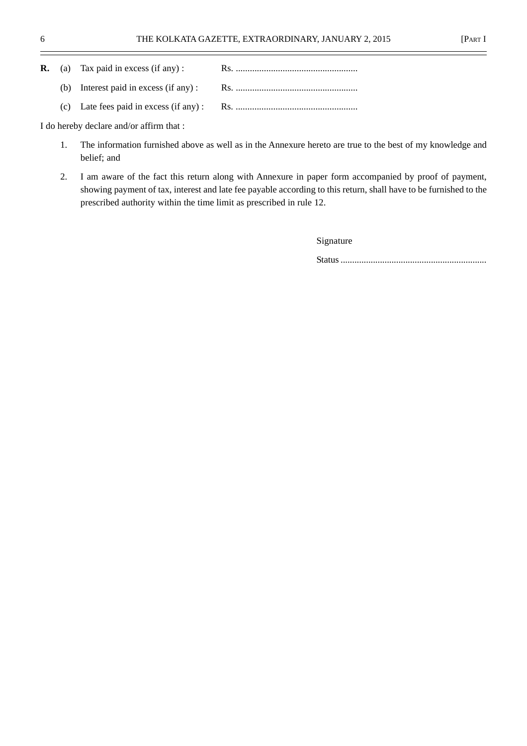|  | <b>R.</b> (a) Tax paid in excess (if any): |  |
|--|--------------------------------------------|--|
|  |                                            |  |
|  |                                            |  |

I do hereby declare and/or affirm that :

- 1. The information furnished above as well as in the Annexure hereto are true to the best of my knowledge and belief; and
- 2. I am aware of the fact this return along with Annexure in paper form accompanied by proof of payment, showing payment of tax, interest and late fee payable according to this return, shall have to be furnished to the prescribed authority within the time limit as prescribed in rule 12.

Signature

Status ...............................................................